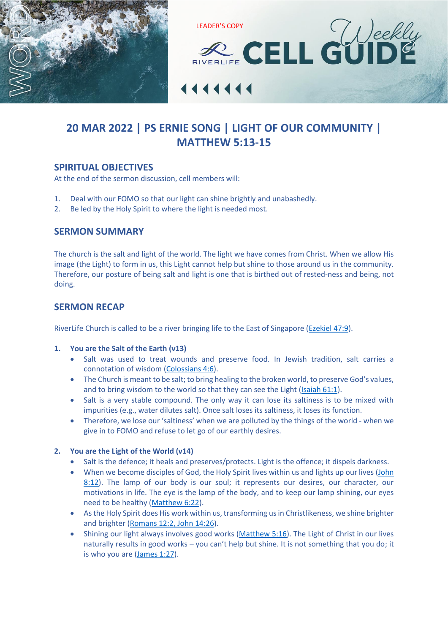



# **20 MAR 2022 | PS ERNIE SONG | LIGHT OF OUR COMMUNITY | [MATTHEW 5:13-15](https://www.biblegateway.com/passage/?search=MATTHEW+5%3A13-15&version=ESV)**

## **SPIRITUAL OBJECTIVES**

At the end of the sermon discussion, cell members will:

- 1. Deal with our FOMO so that our light can shine brightly and unabashedly.
- 2. Be led by the Holy Spirit to where the light is needed most.

## **SERMON SUMMARY**

The church is the salt and light of the world. The light we have comes from Christ. When we allow His image (the Light) to form in us, this Light cannot help but shine to those around us in the community. Therefore, our posture of being salt and light is one that is birthed out of rested-ness and being, not doing.

## **SERMON RECAP**

RiverLife Church is called to be a river bringing life to the East of Singapore [\(Ezekiel 47:9\)](https://www.biblegateway.com/passage/?search=Ezekiel+47%3A9&version=ESV).

### **1. You are the Salt of the Earth (v13)**

- Salt was used to treat wounds and preserve food. In Jewish tradition, salt carries a connotation of wisdom [\(Colossians 4:6\)](https://www.biblegateway.com/passage/?search=Colossians+4%3A6&version=ESV).
- The Church is meant to be salt; to bring healing to the broken world, to preserve God's values, and to bring wisdom to the world so that they can see the Light [\(Isaiah 61:1\)](https://www.biblegateway.com/passage/?search=Isaiah+61%3A1&version=ESV).
- Salt is a very stable compound. The only way it can lose its saltiness is to be mixed with impurities (e.g., water dilutes salt). Once salt loses its saltiness, it loses its function.
- Therefore, we lose our 'saltiness' when we are polluted by the things of the world when we give in to FOMO and refuse to let go of our earthly desires.

### **2. You are the Light of the World (v14)**

- Salt is the defence; it heals and preserves/protects. Light is the offence; it dispels darkness.
- When we become disciples of God, the Holy Spirit lives within us and lights up our lives (John [8:12\)](https://www.biblegateway.com/passage/?search=John+8%3A12&version=ESV). The lamp of our body is our soul; it represents our desires, our character, our motivations in life. The eye is the lamp of the body, and to keep our lamp shining, our eyes need to be healthy [\(Matthew 6:22\)](https://www.biblegateway.com/passage/?search=Matthew+6%3A22&version=ESV).
- As the Holy Spirit does His work within us, transforming us in Christlikeness, we shine brighter and brighter [\(Romans 12:2, John 14:26\)](https://www.biblegateway.com/passage/?search=Romans+12%3A2%2C+John+14%3A26&version=ESV).
- Shining our light always involves good works [\(Matthew 5:16\)](https://www.biblegateway.com/passage/?search=Matthew+5%3A16&version=ESV). The Light of Christ in our lives naturally results in good works – you can't help but shine. It is not something that you do; it is who you are [\(James 1:27\)](https://www.biblegateway.com/passage/?search=James+1%3A27&version=ESV).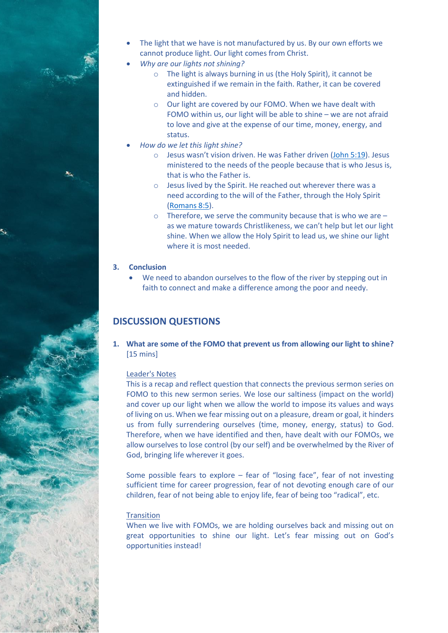

- *Why are our lights not shining?*
	- o The light is always burning in us (the Holy Spirit), it cannot be extinguished if we remain in the faith. Rather, it can be covered and hidden.
	- o Our light are covered by our FOMO. When we have dealt with FOMO within us, our light will be able to shine – we are not afraid to love and give at the expense of our time, money, energy, and status.
- *How do we let this light shine?*
	- o Jesus wasn't vision driven. He was Father driven [\(John 5:19\)](https://www.biblegateway.com/passage/?search=John+5%3A19&version=ESV). Jesus ministered to the needs of the people because that is who Jesus is, that is who the Father is.
	- o Jesus lived by the Spirit. He reached out wherever there was a need according to the will of the Father, through the Holy Spirit [\(Romans 8:5\)](https://www.biblegateway.com/passage/?search=Romans+8%3A5&version=ESV).
	- o Therefore, we serve the community because that is who we are as we mature towards Christlikeness, we can't help but let our light shine. When we allow the Holy Spirit to lead us, we shine our light where it is most needed.

#### **3. Conclusion**

We need to abandon ourselves to the flow of the river by stepping out in faith to connect and make a difference among the poor and needy.

## **DISCUSSION QUESTIONS**

**1. What are some of the FOMO that prevent us from allowing our light to shine?**  [15 mins]

#### Leader's Notes

This is a recap and reflect question that connects the previous sermon series on FOMO to this new sermon series. We lose our saltiness (impact on the world) and cover up our light when we allow the world to impose its values and ways of living on us. When we fear missing out on a pleasure, dream or goal, it hinders us from fully surrendering ourselves (time, money, energy, status) to God. Therefore, when we have identified and then, have dealt with our FOMOs, we allow ourselves to lose control (by our self) and be overwhelmed by the River of God, bringing life wherever it goes.

Some possible fears to explore – fear of "losing face", fear of not investing sufficient time for career progression, fear of not devoting enough care of our children, fear of not being able to enjoy life, fear of being too "radical", etc.

#### **Transition**

When we live with FOMOs, we are holding ourselves back and missing out on great opportunities to shine our light. Let's fear missing out on God's opportunities instead!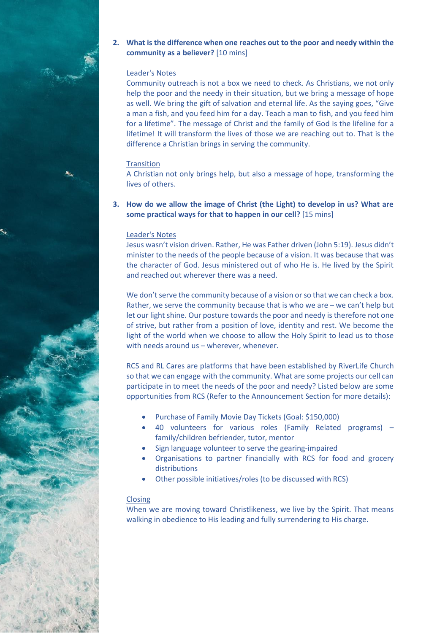## **2. What is the difference when one reaches out to the poor and needy within the community as a believer?** [10 mins]

### Leader's Notes

Community outreach is not a box we need to check. As Christians, we not only help the poor and the needy in their situation, but we bring a message of hope as well. We bring the gift of salvation and eternal life. As the saying goes, "Give a man a fish, and you feed him for a day. Teach a man to fish, and you feed him for a lifetime". The message of Christ and the family of God is the lifeline for a lifetime! It will transform the lives of those we are reaching out to. That is the difference a Christian brings in serving the community.

#### **Transition**

A Christian not only brings help, but also a message of hope, transforming the lives of others.

## **3. How do we allow the image of Christ (the Light) to develop in us? What are some practical ways for that to happen in our cell?** [15 mins]

#### Leader's Notes

Jesus wasn't vision driven. Rather, He was Father driven (John 5:19). Jesus didn't minister to the needs of the people because of a vision. It was because that was the character of God. Jesus ministered out of who He is. He lived by the Spirit and reached out wherever there was a need.

We don't serve the community because of a vision or so that we can check a box. Rather, we serve the community because that is who we are – we can't help but let our light shine. Our posture towards the poor and needy is therefore not one of strive, but rather from a position of love, identity and rest. We become the light of the world when we choose to allow the Holy Spirit to lead us to those with needs around us – wherever, whenever.

RCS and RL Cares are platforms that have been established by RiverLife Church so that we can engage with the community. What are some projects our cell can participate in to meet the needs of the poor and needy? Listed below are some opportunities from RCS (Refer to the Announcement Section for more details):

- Purchase of Family Movie Day Tickets (Goal: \$150,000)
- 40 volunteers for various roles (Family Related programs) family/children befriender, tutor, mentor
- Sign language volunteer to serve the gearing-impaired
- Organisations to partner financially with RCS for food and grocery distributions
- Other possible initiatives/roles (to be discussed with RCS)

#### **Closing**

When we are moving toward Christlikeness, we live by the Spirit. That means walking in obedience to His leading and fully surrendering to His charge.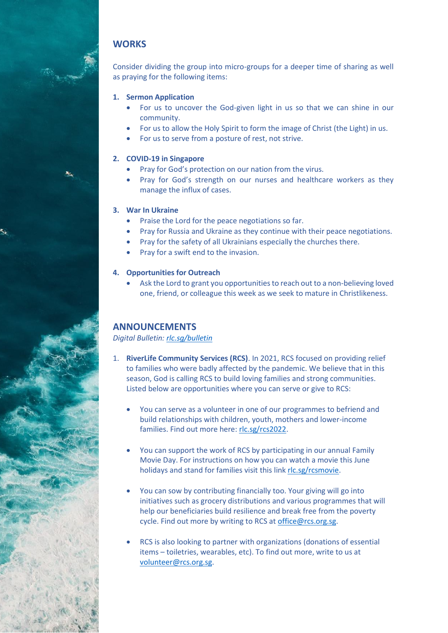## **WORKS**

Consider dividing the group into micro-groups for a deeper time of sharing as well as praying for the following items:

## **1. Sermon Application**

- For us to uncover the God-given light in us so that we can shine in our community.
- For us to allow the Holy Spirit to form the image of Christ (the Light) in us.
- For us to serve from a posture of rest, not strive.

## **2. COVID-19 in Singapore**

- Pray for God's protection on our nation from the virus.
- Pray for God's strength on our nurses and healthcare workers as they manage the influx of cases.

## **3. War In Ukraine**

- Praise the Lord for the peace negotiations so far.
- Pray for Russia and Ukraine as they continue with their peace negotiations.
- Pray for the safety of all Ukrainians especially the churches there.
- Pray for a swift end to the invasion.

## **4. Opportunities for Outreach**

• Ask the Lord to grant you opportunities to reach out to a non-believing loved one, friend, or colleague this week as we seek to mature in Christlikeness.

## **ANNOUNCEMENTS**

*Digital Bulletin: [rlc.sg/bulletin](https://rlc.sg/bulletin)*

- 1. **RiverLife Community Services (RCS)**. In 2021, RCS focused on providing relief to families who were badly affected by the pandemic. We believe that in this season, God is calling RCS to build loving families and strong communities. Listed below are opportunities where you can serve or give to RCS:
	- You can serve as a volunteer in one of our programmes to befriend and build relationships with children, youth, mothers and lower-income families. Find out more here: [rlc.sg/rcs2022.](https://rlc.sg/rcs2022)
	- You can support the work of RCS by participating in our annual Family Movie Day. For instructions on how you can watch a movie this June holidays and stand for families visit this link [rlc.sg/rcsmovie.](https://rlc.sg/rcsmovie)
	- You can sow by contributing financially too. Your giving will go into initiatives such as grocery distributions and various programmes that will help our beneficiaries build resilience and break free from the poverty cycle. Find out more by writing to RCS at [office@rcs.org.sg.](mailto:office@rcs.org.sg)
	- RCS is also looking to partner with organizations (donations of essential items – toiletries, wearables, etc). To find out more, write to us at [volunteer@rcs.org.sg.](mailto:volunteer@rcs.org.sg)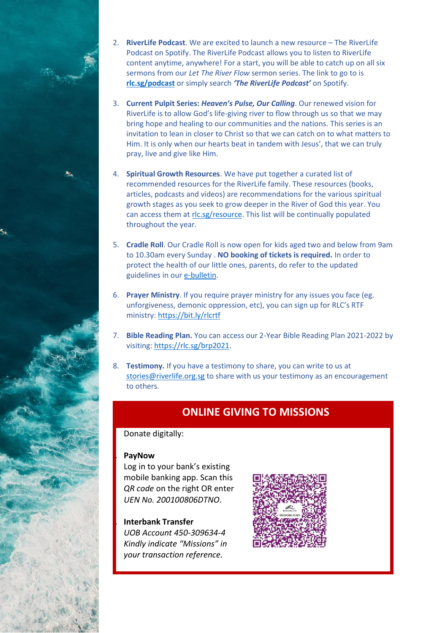

- 3. **Current Pulpit Series:** *Heaven's Pulse, Our Calling*. Our renewed vision for RiverLife is to allow God's life-giving river to flow through us so that we may bring hope and healing to our communities and the nations. This series is an invitation to lean in closer to Christ so that we can catch on to what matters to Him. It is only when our hearts beat in tandem with Jesus', that we can truly pray, live and give like Him.
- 4. **Spiritual Growth Resources**. We have put together a curated list of recommended resources for the RiverLife family. These resources (books, articles, podcasts and videos) are recommendations for the various spiritual growth stages as you seek to grow deeper in the River of God this year. You can access them at [rlc.sg/resource.](https://rlc.sg/resource) This list will be continually populated throughout the year.
- 5. **Cradle Roll**. Our Cradle Roll is now open for kids aged two and below from 9am to 10.30am every Sunday . **NO booking of tickets is required.** In order to protect the health of our little ones, parents, do refer to the updated guidelines in ou[r e-bulletin.](http://www.riverlife.org.sg/bulletin)
- 6. **Prayer Ministry**. If you require prayer ministry for any issues you face (eg. unforgiveness, demonic oppression, etc), you can sign up for RLC's RTF ministry:<https://bit.ly/rlcrtf>
- 7. **Bible Reading Plan.** You can access our 2-Year Bible Reading Plan 2021-2022 by visiting: [https://rlc.sg/brp2021.](https://rlc.sg/brp2021)
- 8. **Testimony.** If you have a testimony to share, you can write to us at [stories@riverlife.org.sg](mailto:stories@riverlife.org.sg) to share with us your testimony as an encouragement to others.

# **ONLINE GIVING TO MISSIONS**

Donate digitally:

## **1. PayNow**

Log in to your bank's existing mobile banking app. Scan this *QR code* on the right OR enter *UEN No. 200100806DTNO*.

**2. Interbank Transfer**  *UOB Account 450-309634-4 Kindly indicate "Missions" in your transaction reference.*